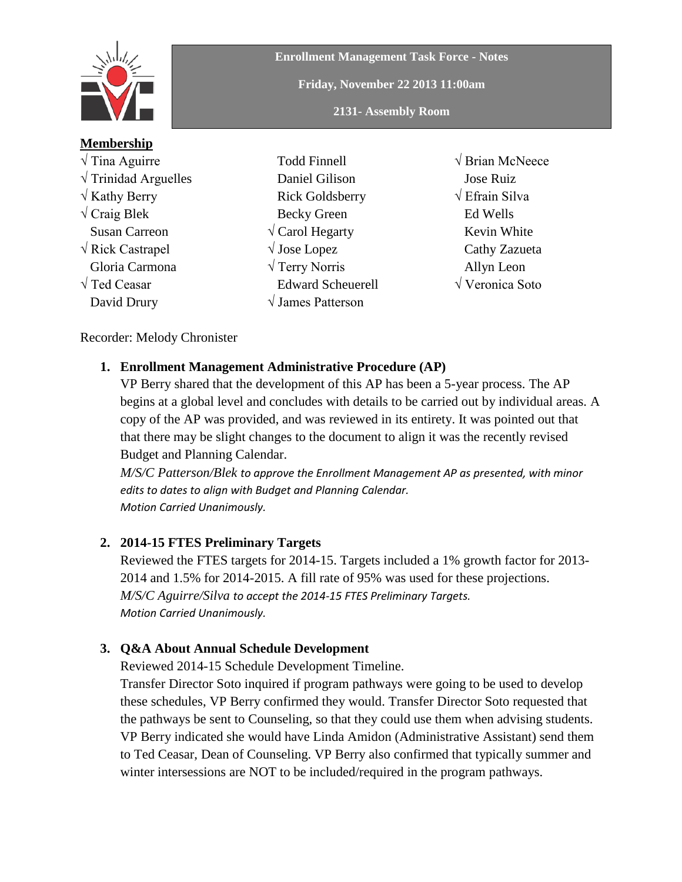

# **Membership**

√ Tina Aguirre  $\sqrt{\text{Trindad} \text{Arguelles}}$  $\sqrt{k}$  Kathy Berry  $\sqrt{C}$ raig Blek Susan Carreon √ Rick Castrapel Gloria Carmona √ Ted Ceasar David Drury

**Enrollment Management Task Force - Notes Friday, November 22 2013 11:00am 2131- Assembly Room**

- Todd Finnell Daniel Gilison Rick Goldsberry Becky Green √ Carol Hegarty √ Jose Lopez √ Terry Norris Edward Scheuerell √ James Patterson
- √ Brian McNeece Jose Ruiz √ Efrain Silva Ed Wells Kevin White Cathy Zazueta Allyn Leon √ Veronica Soto

#### Recorder: Melody Chronister

### **1. Enrollment Management Administrative Procedure (AP)**

VP Berry shared that the development of this AP has been a 5-year process. The AP begins at a global level and concludes with details to be carried out by individual areas. A copy of the AP was provided, and was reviewed in its entirety. It was pointed out that that there may be slight changes to the document to align it was the recently revised Budget and Planning Calendar.

*M/S/C Patterson/Blek to approve the Enrollment Management AP as presented, with minor edits to dates to align with Budget and Planning Calendar. Motion Carried Unanimously.*

### **2. 2014-15 FTES Preliminary Targets**

Reviewed the FTES targets for 2014-15. Targets included a 1% growth factor for 2013- 2014 and 1.5% for 2014-2015. A fill rate of 95% was used for these projections. *M/S/C Aguirre/Silva to accept the 2014-15 FTES Preliminary Targets. Motion Carried Unanimously.*

#### **3. Q&A About Annual Schedule Development**

Reviewed 2014-15 Schedule Development Timeline.

Transfer Director Soto inquired if program pathways were going to be used to develop these schedules, VP Berry confirmed they would. Transfer Director Soto requested that the pathways be sent to Counseling, so that they could use them when advising students. VP Berry indicated she would have Linda Amidon (Administrative Assistant) send them to Ted Ceasar, Dean of Counseling. VP Berry also confirmed that typically summer and winter intersessions are NOT to be included/required in the program pathways.